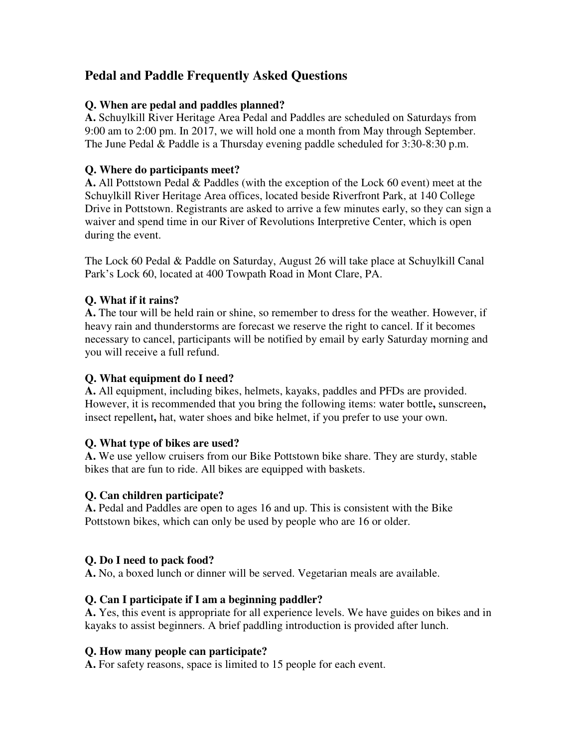# **Pedal and Paddle Frequently Asked Questions**

### **Q. When are pedal and paddles planned?**

**A.** Schuylkill River Heritage Area Pedal and Paddles are scheduled on Saturdays from 9:00 am to 2:00 pm. In 2017, we will hold one a month from May through September. The June Pedal & Paddle is a Thursday evening paddle scheduled for 3:30-8:30 p.m.

### **Q. Where do participants meet?**

**A.** All Pottstown Pedal & Paddles (with the exception of the Lock 60 event) meet at the Schuylkill River Heritage Area offices, located beside Riverfront Park, at 140 College Drive in Pottstown. Registrants are asked to arrive a few minutes early, so they can sign a waiver and spend time in our River of Revolutions Interpretive Center, which is open during the event.

The Lock 60 Pedal & Paddle on Saturday, August 26 will take place at Schuylkill Canal Park's Lock 60, located at 400 Towpath Road in Mont Clare, PA.

### **Q. What if it rains?**

**A.** The tour will be held rain or shine, so remember to dress for the weather. However, if heavy rain and thunderstorms are forecast we reserve the right to cancel. If it becomes necessary to cancel, participants will be notified by email by early Saturday morning and you will receive a full refund.

#### **Q. What equipment do I need?**

**A.** All equipment, including bikes, helmets, kayaks, paddles and PFDs are provided. However, it is recommended that you bring the following items: water bottle**,** sunscreen**,**  insect repellent**,** hat, water shoes and bike helmet, if you prefer to use your own.

#### **Q. What type of bikes are used?**

**A.** We use yellow cruisers from our Bike Pottstown bike share. They are sturdy, stable bikes that are fun to ride. All bikes are equipped with baskets.

#### **Q. Can children participate?**

**A.** Pedal and Paddles are open to ages 16 and up. This is consistent with the Bike Pottstown bikes, which can only be used by people who are 16 or older.

#### **Q. Do I need to pack food?**

**A.** No, a boxed lunch or dinner will be served. Vegetarian meals are available.

#### **Q. Can I participate if I am a beginning paddler?**

**A.** Yes, this event is appropriate for all experience levels. We have guides on bikes and in kayaks to assist beginners. A brief paddling introduction is provided after lunch.

#### **Q. How many people can participate?**

**A.** For safety reasons, space is limited to 15 people for each event.